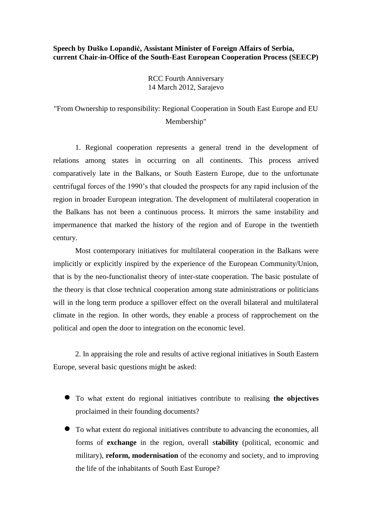## **Speech by Duško Lopandić, Assistant Minister of Foreign Affairs of Serbia, current Chair-in-Office of the South-East European Cooperation Process (SEECP)**

RCC Fourth Anniversary 14 March 2012, Sarajevo

## "From Ownership to responsibility: Regional Cooperation in South East Europe and EU Membership"

1. Regional cooperation represents a general trend in the development of relations among states in occurring on all continents. This process arrived comparatively late in the Balkans, or South Eastern Europe, due to the unfortunate centrifugal forces of the 1990's that clouded the prospects for any rapid inclusion of the region in broader European integration. The development of multilateral cooperation in the Balkans has not been a continuous process. It mirrors the same instability and impermanence that marked the history of the region and of Europe in the twentieth century.

Most contemporary initiatives for multilateral cooperation in the Balkans were implicitly or explicitly inspired by the experience of the European Community/Union, that is by the neo-functionalist theory of inter-state cooperation. The basic postulate of the theory is that close technical cooperation among state administrations or politicians will in the long term produce a spillover effect on the overall bilateral and multilateral climate in the region. In other words, they enable a process of rapprochement on the political and open the door to integration on the economic level.

2. In appraising the role and results of active regional initiatives in South Eastern Europe, several basic questions might be asked:

- To what extent do regional initiatives contribute to realising **the objectives** proclaimed in their founding documents?
- To what extent do regional initiatives contribute to advancing the economies, all forms of **exchange** in the region, overall s**tability** (political, economic and military), **reform, modernisation** of the economy and society, and to improving the life of the inhabitants of South East Europe?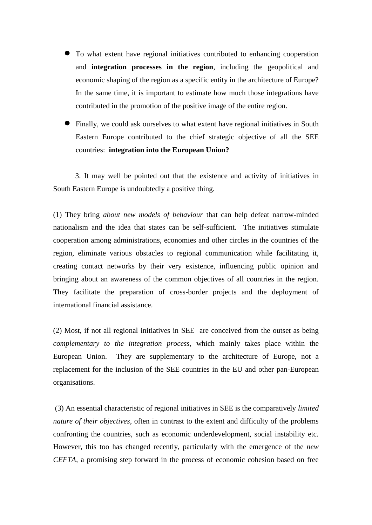- To what extent have regional initiatives contributed to enhancing cooperation and **integration processes in the region**, including the geopolitical and economic shaping of the region as a specific entity in the architecture of Europe? In the same time, it is important to estimate how much those integrations have contributed in the promotion of the positive image of the entire region.
- Finally, we could ask ourselves to what extent have regional initiatives in South Eastern Europe contributed to the chief strategic objective of all the SEE countries: **integration into the European Union?**

3. It may well be pointed out that the existence and activity of initiatives in South Eastern Europe is undoubtedly a positive thing.

(1) They bring *about new models of behaviour* that can help defeat narrow-minded nationalism and the idea that states can be self-sufficient. The initiatives stimulate cooperation among administrations, economies and other circles in the countries of the region, eliminate various obstacles to regional communication while facilitating it, creating contact networks by their very existence, influencing public opinion and bringing about an awareness of the common objectives of all countries in the region. They facilitate the preparation of cross-border projects and the deployment of international financial assistance.

(2) Most, if not all regional initiatives in SEE are conceived from the outset as being *complementary to the integration process*, which mainly takes place within the European Union. They are supplementary to the architecture of Europe, not a replacement for the inclusion of the SEE countries in the EU and other pan-European organisations.

(3) An essential characteristic of regional initiatives in SEE is the comparatively *limited nature of their objectives*, often in contrast to the extent and difficulty of the problems confronting the countries, such as economic underdevelopment, social instability etc. However, this too has changed recently, particularly with the emergence of the *new CEFTA,* a promising step forward in the process of economic cohesion based on free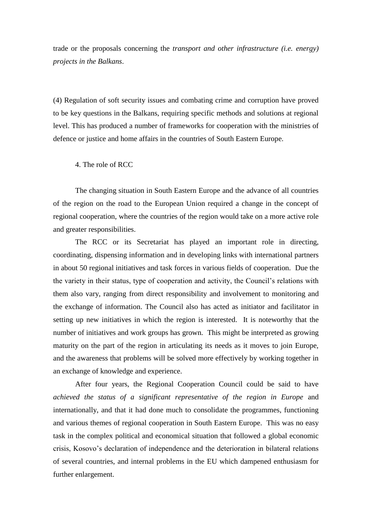trade or the proposals concerning the *transport and other infrastructure (i.e. energy) projects in the Balkans*.

(4) Regulation of soft security issues and combating crime and corruption have proved to be key questions in the Balkans, requiring specific methods and solutions at regional level. This has produced a number of frameworks for cooperation with the ministries of defence or justice and home affairs in the countries of South Eastern Europe.

## 4. The role of RCC

The changing situation in South Eastern Europe and the advance of all countries of the region on the road to the European Union required a change in the concept of regional cooperation, where the countries of the region would take on a more active role and greater responsibilities.

The RCC or its Secretariat has played an important role in directing, coordinating, dispensing information and in developing links with international partners in about 50 regional initiatives and task forces in various fields of cooperation. Due the the variety in their status, type of cooperation and activity, the Council's relations with them also vary, ranging from direct responsibility and involvement to monitoring and the exchange of information. The Council also has acted as initiator and facilitator in setting up new initiatives in which the region is interested. It is noteworthy that the number of initiatives and work groups has grown. This might be interpreted as growing maturity on the part of the region in articulating its needs as it moves to join Europe, and the awareness that problems will be solved more effectively by working together in an exchange of knowledge and experience.

After four years, the Regional Cooperation Council could be said to have *achieved the status of a significant representative of the region in Europe* and internationally, and that it had done much to consolidate the programmes, functioning and various themes of regional cooperation in South Eastern Europe. This was no easy task in the complex political and economical situation that followed a global economic crisis, Kosovo's declaration of independence and the deterioration in bilateral relations of several countries, and internal problems in the EU which dampened enthusiasm for further enlargement.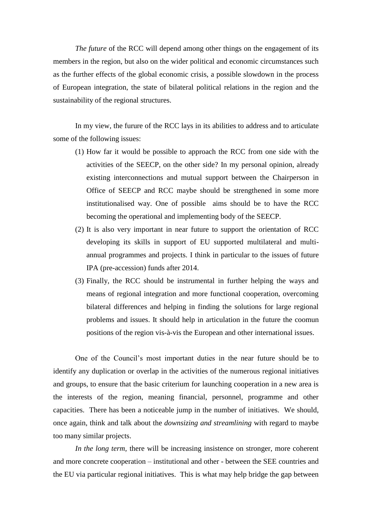*The future* of the RCC will depend among other things on the engagement of its members in the region, but also on the wider political and economic circumstances such as the further effects of the global economic crisis, a possible slowdown in the process of European integration, the state of bilateral political relations in the region and the sustainability of the regional structures.

In my view, the furure of the RCC lays in its abilities to address and to articulate some of the following issues:

- (1) How far it would be possible to approach the RCC from one side with the activities of the SEECP, on the other side? In my personal opinion, already existing interconnections and mutual support between the Chairperson in Office of SEECP and RCC maybe should be strengthened in some more institutionalised way. One of possible aims should be to have the RCC becoming the operational and implementing body of the SEECP.
- (2) It is also very important in near future to support the orientation of RCC developing its skills in support of EU supported multilateral and multiannual programmes and projects. I think in particular to the issues of future IPA (pre-accession) funds after 2014.
- (3) Finally, the RCC should be instrumental in further helping the ways and means of regional integration and more functional cooperation, overcoming bilateral differences and helping in finding the solutions for large regional problems and issues. It should help in articulation in the future the coomun positions of the region vis-à-vis the European and other international issues.

One of the Council's most important duties in the near future should be to identify any duplication or overlap in the activities of the numerous regional initiatives and groups, to ensure that the basic criterium for launching cooperation in a new area is the interests of the region, meaning financial, personnel, programme and other capacities. There has been a noticeable jump in the number of initiatives. We should, once again, think and talk about the *downsizing and streamlining* with regard to maybe too many similar projects.

*In the long term,* there will be increasing insistence on stronger, more coherent and more concrete cooperation – institutional and other - between the SEE countries and the EU via particular regional initiatives. This is what may help bridge the gap between